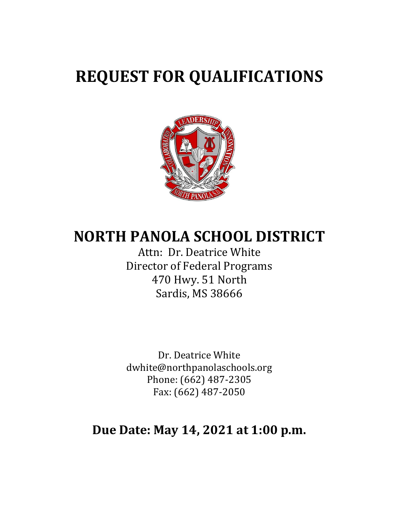# **REQUEST FOR QUALIFICATIONS**



## **NORTH PANOLA SCHOOL DISTRICT**

Attn: Dr. Deatrice White Director of Federal Programs 470 Hwy. 51 North Sardis, MS 38666

Dr. Deatrice White dwhite@northpanolaschools.org Phone: (662) 487-2305 Fax: (662) 487-2050

## **Due Date: May 14, 2021 at 1:00 p.m.**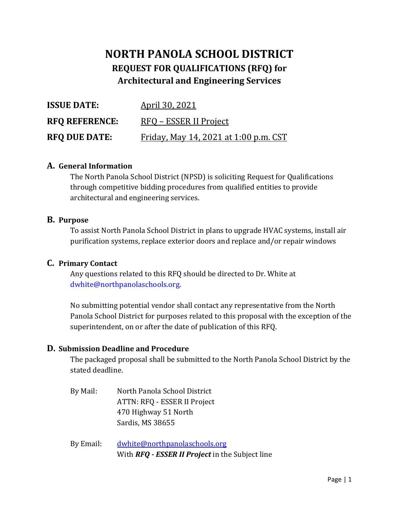### **NORTH PANOLA SCHOOL DISTRICT REQUEST FOR QUALIFICATIONS (RFQ) for Architectural and Engineering Services**

| <b>ISSUE DATE:</b>    | <u>April 30, 2021</u>                        |
|-----------------------|----------------------------------------------|
| <b>RFO REFERENCE:</b> | RFQ – ESSER II Project                       |
| <b>RFQ DUE DATE:</b>  | <u>Friday, May 14, 2021 at 1:00 p.m. CST</u> |

#### **A. General Information**

The North Panola School District (NPSD) is soliciting Request for Qualifications through competitive bidding procedures from qualified entities to provide architectural and engineering services.

#### **B. Purpose**

To assist North Panola School District in plans to upgrade HVAC systems, install air purification systems, replace exterior doors and replace and/or repair windows

#### **C. Primary Contact**

Any questions related to this RFQ should be directed to Dr. White at [dwhite@northpanolaschools.org.](mailto:dwhite@northpanolaschools.org)

No submitting potential vendor shall contact any representative from the North Panola School District for purposes related to this proposal with the exception of the superintendent, on or after the date of publication of this RFQ.

#### **D. Submission Deadline and Procedure**

The packaged proposal shall be submitted to the North Panola School District by the stated deadline.

By Mail: North Panola School District ATTN: RFQ - ESSER II Project 470 Highway 51 North Sardis, MS 38655

By Email: [dwhite@northpanolaschools.org](mailto:dwhite@northpanolaschools.org) With *RFQ - ESSER II Project* in the Subject line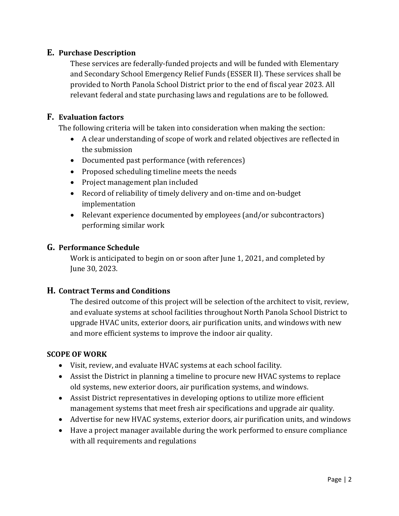#### **E. Purchase Description**

These services are federally-funded projects and will be funded with Elementary and Secondary School Emergency Relief Funds (ESSER II). These services shall be provided to North Panola School District prior to the end of fiscal year 2023. All relevant federal and state purchasing laws and regulations are to be followed.

#### **F. Evaluation factors**

The following criteria will be taken into consideration when making the section:

- A clear understanding of scope of work and related objectives are reflected in the submission
- Documented past performance (with references)
- Proposed scheduling timeline meets the needs
- Project management plan included
- Record of reliability of timely delivery and on-time and on-budget implementation
- Relevant experience documented by employees (and/or subcontractors) performing similar work

#### **G. Performance Schedule**

Work is anticipated to begin on or soon after June 1, 2021, and completed by June 30, 2023.

#### **H. Contract Terms and Conditions**

The desired outcome of this project will be selection of the architect to visit, review, and evaluate systems at school facilities throughout North Panola School District to upgrade HVAC units, exterior doors, air purification units, and windows with new and more efficient systems to improve the indoor air quality.

#### **SCOPE OF WORK**

- Visit, review, and evaluate HVAC systems at each school facility.
- Assist the District in planning a timeline to procure new HVAC systems to replace old systems, new exterior doors, air purification systems, and windows.
- Assist District representatives in developing options to utilize more efficient management systems that meet fresh air specifications and upgrade air quality.
- Advertise for new HVAC systems, exterior doors, air purification units, and windows
- Have a project manager available during the work performed to ensure compliance with all requirements and regulations